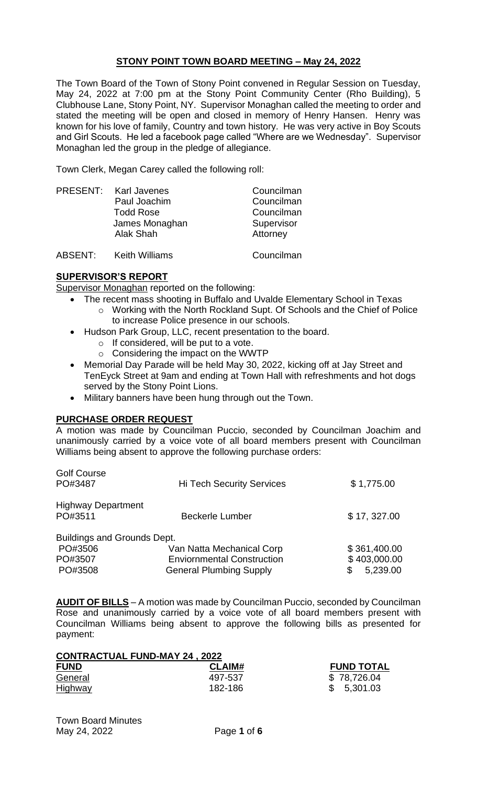# **STONY POINT TOWN BOARD MEETING – May 24, 2022**

The Town Board of the Town of Stony Point convened in Regular Session on Tuesday, May 24, 2022 at 7:00 pm at the Stony Point Community Center (Rho Building), 5 Clubhouse Lane, Stony Point, NY. Supervisor Monaghan called the meeting to order and stated the meeting will be open and closed in memory of Henry Hansen. Henry was known for his love of family, Country and town history. He was very active in Boy Scouts and Girl Scouts. He led a facebook page called "Where are we Wednesday". Supervisor Monaghan led the group in the pledge of allegiance.

Town Clerk, Megan Carey called the following roll:

|         | PRESENT: Karl Javenes<br>Paul Joachim<br><b>Todd Rose</b> | Councilman<br>Councilman<br>Councilman |
|---------|-----------------------------------------------------------|----------------------------------------|
|         | James Monaghan<br>Alak Shah                               | Supervisor<br>Attorney                 |
| ABSENT: | <b>Keith Williams</b>                                     | Councilman                             |

## **SUPERVISOR'S REPORT**

Supervisor Monaghan reported on the following:

- The recent mass shooting in Buffalo and Uvalde Elementary School in Texas
	- o Working with the North Rockland Supt. Of Schools and the Chief of Police to increase Police presence in our schools.
	- Hudson Park Group, LLC, recent presentation to the board.
		- $\circ$  If considered, will be put to a vote.
		- o Considering the impact on the WWTP
	- Memorial Day Parade will be held May 30, 2022, kicking off at Jay Street and TenEyck Street at 9am and ending at Town Hall with refreshments and hot dogs served by the Stony Point Lions.
	- Military banners have been hung through out the Town.

## **PURCHASE ORDER REQUEST**

A motion was made by Councilman Puccio, seconded by Councilman Joachim and unanimously carried by a voice vote of all board members present with Councilman Williams being absent to approve the following purchase orders:

| <b>Golf Course</b><br>PO#3487        | <b>Hi Tech Security Services</b>  | \$1,775.00   |
|--------------------------------------|-----------------------------------|--------------|
| <b>Highway Department</b><br>PO#3511 | <b>Beckerle Lumber</b>            | \$17, 327.00 |
| Buildings and Grounds Dept.          |                                   |              |
| PO#3506                              | Van Natta Mechanical Corp         | \$361,400.00 |
| PO#3507                              | <b>Enviornmental Construction</b> | \$403,000.00 |
| PO#3508                              | <b>General Plumbing Supply</b>    | 5,239.00     |
|                                      |                                   |              |

**AUDIT OF BILLS** – A motion was made by Councilman Puccio, seconded by Councilman Rose and unanimously carried by a voice vote of all board members present with Councilman Williams being absent to approve the following bills as presented for payment:

| <b>CONTRACTUAL FUND-MAY 24, 2022</b> |               |                   |  |
|--------------------------------------|---------------|-------------------|--|
| <b>FUND</b>                          | <b>CLAIM#</b> | <b>FUND TOTAL</b> |  |
| General                              | 497-537       | \$78,726.04       |  |
| <u>Highway</u>                       | 182-186       | \$5,301.03        |  |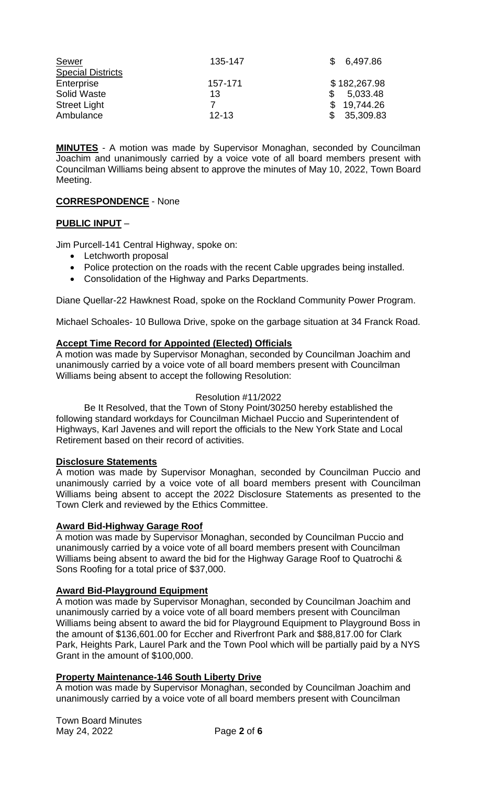| Sewer                    | 135-147   | 6,497.86     |
|--------------------------|-----------|--------------|
| <b>Special Districts</b> |           |              |
| Enterprise               | 157-171   | \$182,267.98 |
| Solid Waste              | 13        | 5,033.48     |
| <b>Street Light</b>      |           | 19,744.26    |
| Ambulance                | $12 - 13$ | 35,309.83    |

**MINUTES** - A motion was made by Supervisor Monaghan, seconded by Councilman Joachim and unanimously carried by a voice vote of all board members present with Councilman Williams being absent to approve the minutes of May 10, 2022, Town Board Meeting.

# **CORRESPONDENCE** - None

## **PUBLIC INPUT** –

Jim Purcell-141 Central Highway, spoke on:

- Letchworth proposal
- Police protection on the roads with the recent Cable upgrades being installed.
- Consolidation of the Highway and Parks Departments.

Diane Quellar-22 Hawknest Road, spoke on the Rockland Community Power Program.

Michael Schoales- 10 Bullowa Drive, spoke on the garbage situation at 34 Franck Road.

## **Accept Time Record for Appointed (Elected) Officials**

A motion was made by Supervisor Monaghan, seconded by Councilman Joachim and unanimously carried by a voice vote of all board members present with Councilman Williams being absent to accept the following Resolution:

## Resolution #11/2022

Be It Resolved, that the Town of Stony Point/30250 hereby established the following standard workdays for Councilman Michael Puccio and Superintendent of Highways, Karl Javenes and will report the officials to the New York State and Local Retirement based on their record of activities.

## **Disclosure Statements**

A motion was made by Supervisor Monaghan, seconded by Councilman Puccio and unanimously carried by a voice vote of all board members present with Councilman Williams being absent to accept the 2022 Disclosure Statements as presented to the Town Clerk and reviewed by the Ethics Committee.

## **Award Bid-Highway Garage Roof**

A motion was made by Supervisor Monaghan, seconded by Councilman Puccio and unanimously carried by a voice vote of all board members present with Councilman Williams being absent to award the bid for the Highway Garage Roof to Quatrochi & Sons Roofing for a total price of \$37,000.

## **Award Bid-Playground Equipment**

A motion was made by Supervisor Monaghan, seconded by Councilman Joachim and unanimously carried by a voice vote of all board members present with Councilman Williams being absent to award the bid for Playground Equipment to Playground Boss in the amount of \$136,601.00 for Eccher and Riverfront Park and \$88,817.00 for Clark Park, Heights Park, Laurel Park and the Town Pool which will be partially paid by a NYS Grant in the amount of \$100,000.

## **Property Maintenance-146 South Liberty Drive**

A motion was made by Supervisor Monaghan, seconded by Councilman Joachim and unanimously carried by a voice vote of all board members present with Councilman

Town Board Minutes May 24, 2022 Page **2** of **6**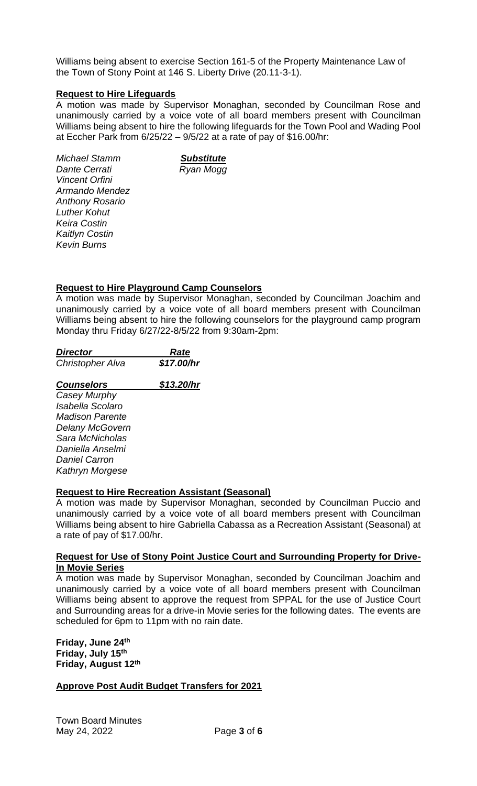Williams being absent to exercise Section 161-5 of the Property Maintenance Law of the Town of Stony Point at 146 S. Liberty Drive (20.11-3-1).

## **Request to Hire Lifeguards**

A motion was made by Supervisor Monaghan, seconded by Councilman Rose and unanimously carried by a voice vote of all board members present with Councilman Williams being absent to hire the following lifeguards for the Town Pool and Wading Pool at Eccher Park from  $6/25/22 - 9/5/22$  at a rate of pay of \$16.00/hr:

*Michael Stamm Substitute Dante Cerrati* Ryan Mogg *Vincent Orfini Armando Mendez Anthony Rosario Luther Kohut Keira Costin Kaitlyn Costin Kevin Burns*

### **Request to Hire Playground Camp Counselors**

A motion was made by Supervisor Monaghan, seconded by Councilman Joachim and unanimously carried by a voice vote of all board members present with Councilman Williams being absent to hire the following counselors for the playground camp program Monday thru Friday 6/27/22-8/5/22 from 9:30am-2pm:

| <b>Director</b>        | Rate       |
|------------------------|------------|
| Christopher Alva       | \$17.00/hr |
| <b>Counselors</b>      | \$13.20/hr |
| Casey Murphy           |            |
| Isabella Scolaro       |            |
| <i>Madison Parente</i> |            |
| <b>Delany McGovern</b> |            |
| Sara McNicholas        |            |
| Daniella Anselmi       |            |
| Daniel Carron          |            |
| Kathryn Morgese        |            |

## **Request to Hire Recreation Assistant (Seasonal)**

A motion was made by Supervisor Monaghan, seconded by Councilman Puccio and unanimously carried by a voice vote of all board members present with Councilman Williams being absent to hire Gabriella Cabassa as a Recreation Assistant (Seasonal) at a rate of pay of \$17.00/hr.

#### **Request for Use of Stony Point Justice Court and Surrounding Property for Drive-In Movie Series**

A motion was made by Supervisor Monaghan, seconded by Councilman Joachim and unanimously carried by a voice vote of all board members present with Councilman Williams being absent to approve the request from SPPAL for the use of Justice Court and Surrounding areas for a drive-in Movie series for the following dates. The events are scheduled for 6pm to 11pm with no rain date.

**Friday, June 24th Friday, July 15th Friday, August 12th**

# **Approve Post Audit Budget Transfers for 2021**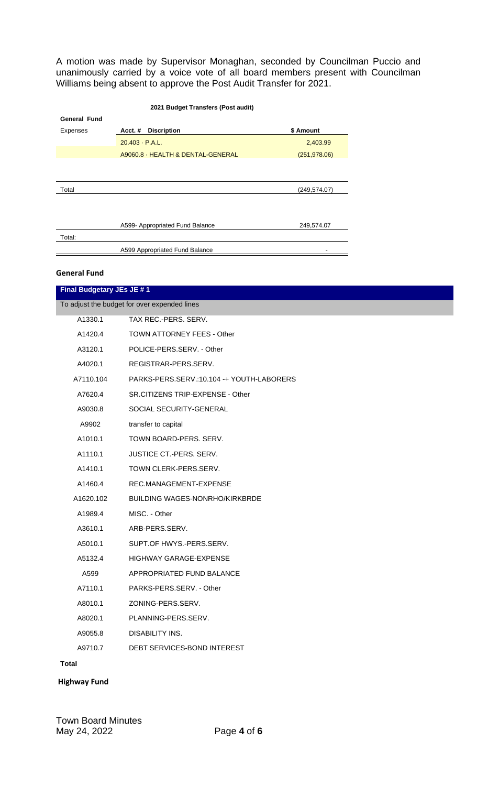A motion was made by Supervisor Monaghan, seconded by Councilman Puccio and unanimously carried by a voice vote of all board members present with Councilman Williams being absent to approve the Post Audit Transfer for 2021.

| 2021 Budget Transfers (Post audit) |                                   |               |
|------------------------------------|-----------------------------------|---------------|
| <b>General Fund</b>                |                                   |               |
| Expenses                           | <b>Discription</b><br>Acct.#      | \$ Amount     |
|                                    | $20.403 \cdot P.A.L.$             | 2,403.99      |
|                                    | A9060.8 · HEALTH & DENTAL-GENERAL | (251, 978.06) |
|                                    |                                   |               |
|                                    |                                   |               |
| Total                              |                                   | (249, 574.07) |
|                                    |                                   |               |
|                                    |                                   |               |
|                                    | A599- Appropriated Fund Balance   | 249,574.07    |
| Total:                             |                                   |               |
|                                    | A599 Appropriated Fund Balance    |               |

#### **General Fund**

| Final Budgetary JEs JE #1 |                                              |  |
|---------------------------|----------------------------------------------|--|
|                           | To adjust the budget for over expended lines |  |
| A1330.1                   | TAX REC.-PERS. SERV.                         |  |
| A1420.4                   | TOWN ATTORNEY FEES - Other                   |  |
| A3120.1                   | POLICE-PERS.SERV. - Other                    |  |
| A4020.1                   | REGISTRAR-PERS.SERV.                         |  |
| A7110.104                 | PARKS-PERS.SERV.:10.104 -+ YOUTH-LABORERS    |  |
| A7620.4                   | SR.CITIZENS TRIP-EXPENSE - Other             |  |
| A9030.8                   | SOCIAL SECURITY-GENERAL                      |  |
| A9902                     | transfer to capital                          |  |
| A1010.1                   | TOWN BOARD-PERS. SERV.                       |  |
| A1110.1                   | <b>JUSTICE CT.-PERS. SERV.</b>               |  |
| A1410.1                   | TOWN CLERK-PERS.SERV.                        |  |
| A1460.4                   | REC.MANAGEMENT-EXPENSE                       |  |
| A1620.102                 | <b>BUILDING WAGES-NONRHO/KIRKBRDE</b>        |  |
| A1989.4                   | MISC. - Other                                |  |
| A3610.1                   | ARB-PERS.SERV.                               |  |
| A5010.1                   | SUPT.OF HWYS.-PERS.SERV.                     |  |
| A5132.4                   | HIGHWAY GARAGE-EXPENSE                       |  |
| A599                      | APPROPRIATED FUND BALANCE                    |  |
| A7110.1                   | PARKS-PERS.SERV. - Other                     |  |
| A8010.1                   | ZONING-PERS.SERV.                            |  |
| A8020.1                   | PLANNING-PERS.SERV.                          |  |
| A9055.8                   | DISABILITY INS.                              |  |
| A9710.7                   | DEBT SERVICES-BOND INTEREST                  |  |
| Total                     |                                              |  |

## **Highway Fund**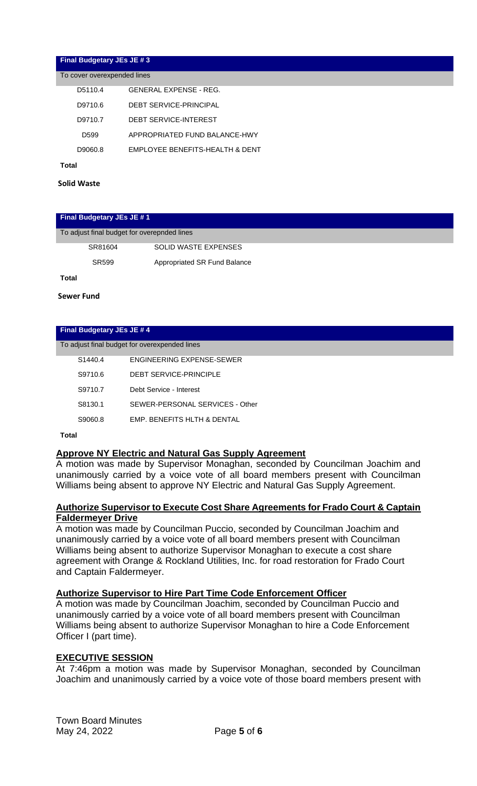### **Final Budgetary JEs JE # 3**

| To cover overexpended lines |                                 |
|-----------------------------|---------------------------------|
| D5110.4                     | GENERAL EXPENSE - REG.          |
| D9710.6                     | <b>DEBT SERVICE-PRINCIPAL</b>   |
| D9710.7                     | DEBT SERVICE-INTEREST           |
| D599                        | APPROPRIATED FUND BALANCE-HWY   |
| D9060.8                     | EMPLOYEE BENEFITS-HEALTH & DENT |

**Total**

**Solid Waste**

#### **Final Budgetary JEs JE # 1**

| To adjust final budget for overepnded lines |
|---------------------------------------------|
|---------------------------------------------|

| SR81604 | <b>SOLID WASTE EXPENSES</b>  |
|---------|------------------------------|
| SR599   | Appropriated SR Fund Balance |

**Total**

**Sewer Fund**

#### **Final Budgetary JEs JE # 4**

#### To adjust final budget for overexpended lines

| S <sub>1440.4</sub> | ENGINEERING EXPENSE-SEWER       |
|---------------------|---------------------------------|
| S9710.6             | DEBT SERVICE-PRINCIPLE          |
| S9710.7             | Debt Service - Interest         |
| S8130.1             | SEWER-PERSONAL SERVICES - Other |
| S9060.8             | EMP. BENEFITS HLTH & DENTAL     |

**Total**

#### **Approve NY Electric and Natural Gas Supply Agreement**

A motion was made by Supervisor Monaghan, seconded by Councilman Joachim and unanimously carried by a voice vote of all board members present with Councilman Williams being absent to approve NY Electric and Natural Gas Supply Agreement.

## **Authorize Supervisor to Execute Cost Share Agreements for Frado Court & Captain Faldermeyer Drive**

A motion was made by Councilman Puccio, seconded by Councilman Joachim and unanimously carried by a voice vote of all board members present with Councilman Williams being absent to authorize Supervisor Monaghan to execute a cost share agreement with Orange & Rockland Utilities, Inc. for road restoration for Frado Court and Captain Faldermeyer.

#### **Authorize Supervisor to Hire Part Time Code Enforcement Officer**

A motion was made by Councilman Joachim, seconded by Councilman Puccio and unanimously carried by a voice vote of all board members present with Councilman Williams being absent to authorize Supervisor Monaghan to hire a Code Enforcement Officer I (part time).

#### **EXECUTIVE SESSION**

At 7:46pm a motion was made by Supervisor Monaghan, seconded by Councilman Joachim and unanimously carried by a voice vote of those board members present with